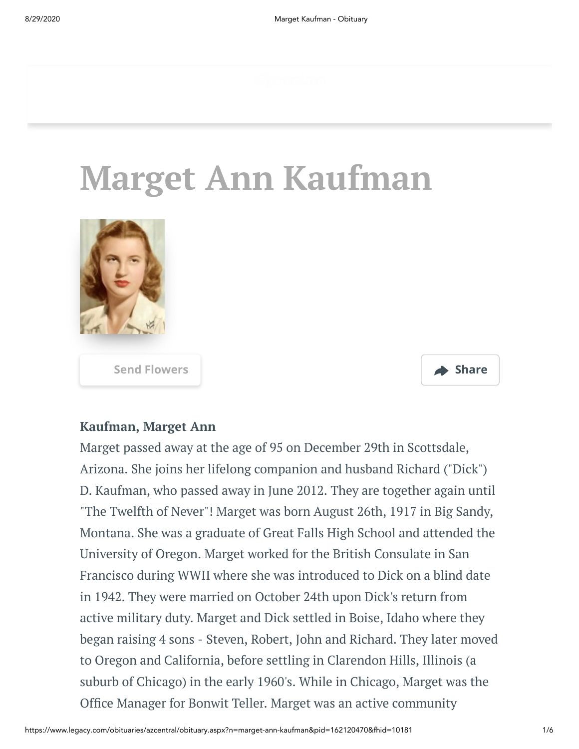# **Marget Ann Kaufman**



**[Send Flowers](https://sympathy.legacy.com/en-us/funeral-flowers/name/marget-kaufman-funeral-flowers/p162120470/?affiliateId=45&pm=205) Share**



#### **Kaufman, Marget Ann**

Marget passed away at the age of 95 on December 29th in Scottsdale, Arizona. She joins her lifelong companion and husband Richard ("Dick") D. Kaufman, who passed away in June 2012. They are together again until "The Twelfth of Never"! Marget was born August 26th, 1917 in Big Sandy, Montana. She was a graduate of Great Falls High School and attended the University of Oregon. Marget worked for the British Consulate in San Francisco during WWII where she was introduced to Dick on a blind date in 1942. They were married on October 24th upon Dick's return from active military duty. Marget and Dick settled in Boise, Idaho where they began raising 4 sons - Steven, Robert, John and Richard. They later moved to Oregon and California, before settling in Clarendon Hills, Illinois (a suburb of Chicago) in the early 1960's. While in Chicago, Marget was the Office Manager for Bonwit Teller. Marget was an active community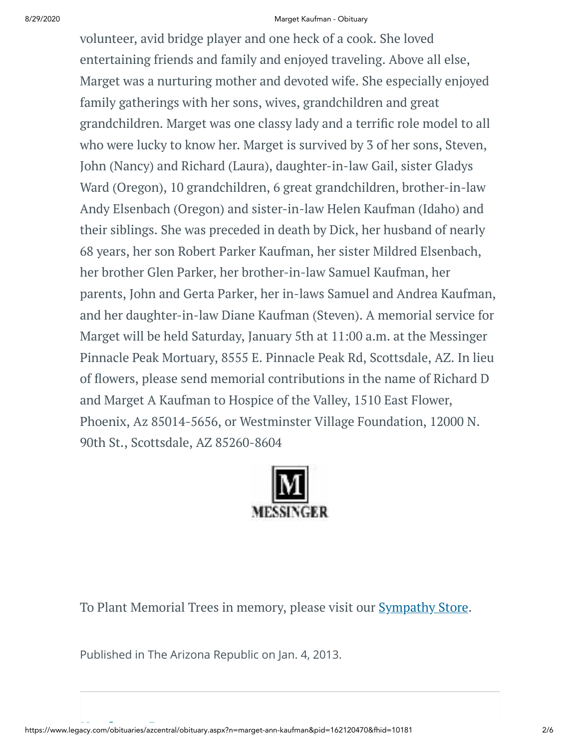#### 8/29/2020 Marget Kaufman - Obituary

volunteer, avid bridge player and one heck of a cook. She loved entertaining friends and family and enjoyed traveling. Above all else, Marget was a nurturing mother and devoted wife. She especially enjoyed family gatherings with her sons, wives, grandchildren and great grandchildren. Marget was one classy lady and a terrific role model to all who were lucky to know her. Marget is survived by 3 of her sons, Steven, John (Nancy) and Richard (Laura), daughter-in-law Gail, sister Gladys Ward (Oregon), 10 grandchildren, 6 great grandchildren, brother-in-law Andy Elsenbach (Oregon) and sister-in-law Helen Kaufman (Idaho) and their siblings. She was preceded in death by Dick, her husband of nearly 68 years, her son Robert Parker Kaufman, her sister Mildred Elsenbach, her brother Glen Parker, her brother-in-law Samuel Kaufman, her parents, John and Gerta Parker, her in-laws Samuel and Andrea Kaufman, and her daughter-in-law Diane Kaufman (Steven). A memorial service for Marget will be held Saturday, January 5th at 11:00 a.m. at the Messinger Pinnacle Peak Mortuary, 8555 E. Pinnacle Peak Rd, Scottsdale, AZ. In lieu of flowers, please send memorial contributions in the name of Richard D and Marget A Kaufman to Hospice of the Valley, 1510 East Flower, Phoenix, Az 85014-5656, or Westminster Village Foundation, 12000 N. 90th St., Scottsdale, AZ 85260-8604



To Plant Memorial Trees in memory, please visit our **[Sympathy](https://sympathy.legacy.com/en-us/funeral-flowers/name/marget-kaufman-funeral-flowers/p162120470/?affiliateId=45&pm=240) Store**.

Published in The Arizona Republic on Jan. 4, 2013.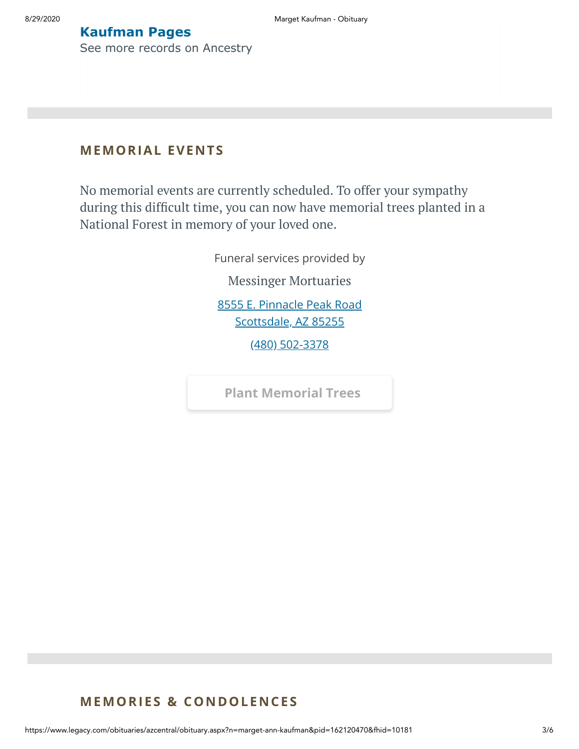#### **Kaufman Pages**

[See more records on Ancestry](https://adclick.g.doubleclick.net/pcs/click?xai=AKAOjstN3JmH5-FpGCXMGvFMnLM7vE121OjBAHLBV7hrb9CYAMBnVTsRCRW2BITfEJPQdG-7EP2sByWwApg2u8UuLjt1hij--VzJxpsXoazMhZcu0E1qwW_cfCuq6W-VvyuRkHlN7n920Of7HBuevhMJtQwZGkUqVnhKhQG0kuHRgh-Z7ylMFETThDNfTyPGpnEBV7olo9WnsMwvOdt51jhPw34YOb5azZ9cXyR5dfp7BdEkeFKZnigx6FzRY77vCXDtBwzuumGFMLtPmMYPK9aKsW4S6qkvstc13Nw8AUYtsIovf_BfG4fqUQ&sig=Cg0ArKJSzDRGVSYtwkEnEAE&urlfix=1&adurl=https://prf.hn/click/camref:1101l3yjc/adref:77841/destination:https://www.ancestry.com/cs/partner-records%3FflowId%3DpartnersBirth%26gsfn%3DMarget%26gsln%3DKaufman)

#### **MEMORIAL EVENTS**

No memorial events are currently scheduled. To offer your sympathy during this difficult time, you can now have memorial trees planted in a National Forest in memory of your loved one.

> Funeral services provided by Messinger [Mortuaries](https://www.messingermortuary.com/) [8555 E. Pinnacle Peak Road](https://maps.google.com/?q=8555%20E.%20Pinnacle%20Peak%20Road%20Scottsdale,%20AZ%2085255) Scottsdale, AZ 85255 [\(480\) 502-3378](tel:4805023378)

**[Plant Memorial Trees](https://sympathy.legacy.com/en-us/funeral-flowers/name/marget-kaufman-funeral-flowers/p162120470/?affiliateId=45&pm=271)**

#### **MEMORIES & CO N DOLE N CES**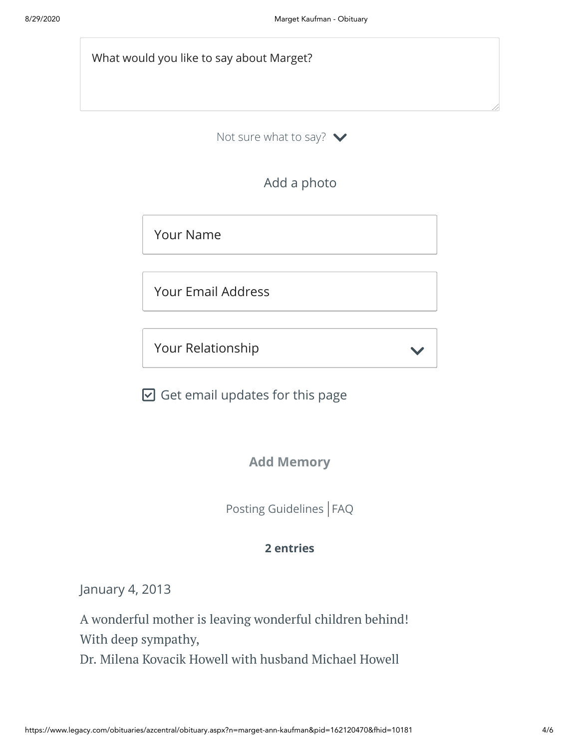What would you like to say about Marget?

Not sure what to say?  $\blacktriangleright$ 

Add a photo

Your Name

Your Email Address

Your Relationship

 $\boxdot$  Get email updates for this page

**Add Memory**

 $\checkmark$ 

[Posting Guidelines](https://www.legacy.com/guestbooks/posting-guidelines.aspx?n=Marget-Kaufman&pid=162120470) | [FAQ](https://www.legacy.com/guestbooks/faq.aspx?n=Marget-Kaufman&pid=162120470)

#### **2 entries**

January 4, 2013

A wonderful mother is leaving wonderful children behind! With deep sympathy, Dr. Milena Kovacik Howell with husband Michael Howell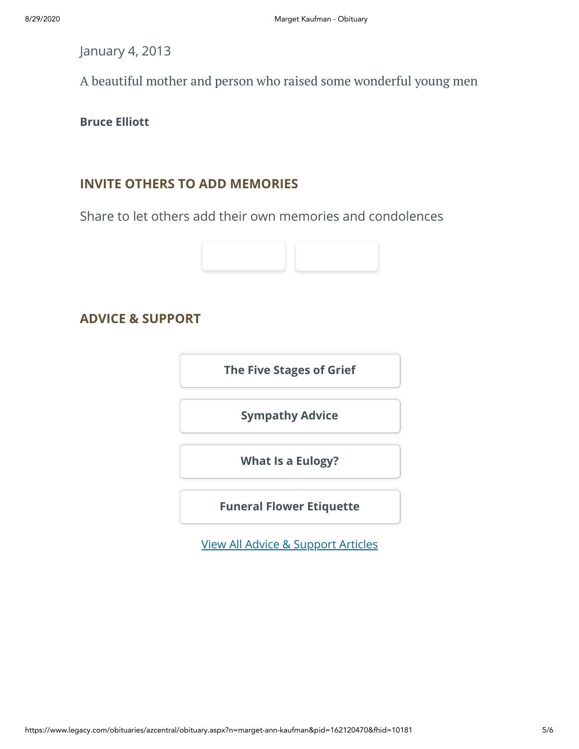January 4, 2013

A beautiful mother and person who raised some wonderful young men

**Bruce Elliott**

### **INVITE OTHERS TO ADD MEMORIES**

Share to let others add their own memories and condolences



**ADVICE & SUPPORT**

**[The Five Stages of Grief](https://www.legacy.com/news/advice-and-support/article/the-five-stages-of-grief)**

**[Sympathy Advice](https://www.legacy.com/news/advice-and-support/article/sympathy-and-condolence-advice)**

**[What Is a Eulogy?](https://www.legacy.com/news/advice-and-support/article/what-is-a-eulogy)**

**[Funeral Flower Etiquette](https://sympathy.legacy.com//en-us/funeral-flowers/article/funeral-flower-etiquette/)**

[View All Advice & Support Articles](http://www.legacy.com/news/advice-and-support)